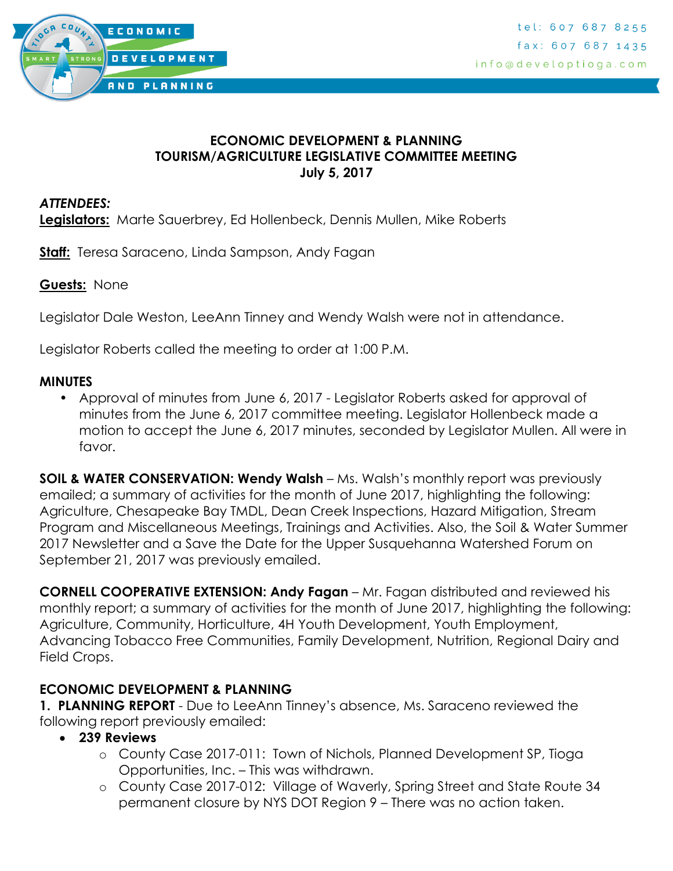

### **ECONOMIC DEVELOPMENT & PLANNING TOURISM/AGRICULTURE LEGISLATIVE COMMITTEE MEETING July 5, 2017**

### *ATTENDEES:*

**Legislators:** Marte Sauerbrey, Ed Hollenbeck, Dennis Mullen, Mike Roberts

**Staff:** Teresa Saraceno, Linda Sampson, Andy Fagan

**Guests:** None

Legislator Dale Weston, LeeAnn Tinney and Wendy Walsh were not in attendance.

Legislator Roberts called the meeting to order at 1:00 P.M.

#### **MINUTES**

• Approval of minutes from June 6, 2017 - Legislator Roberts asked for approval of minutes from the June 6, 2017 committee meeting. Legislator Hollenbeck made a motion to accept the June 6, 2017 minutes, seconded by Legislator Mullen. All were in favor.

**SOIL & WATER CONSERVATION: Wendy Walsh** – Ms. Walsh's monthly report was previously emailed; a summary of activities for the month of June 2017, highlighting the following: Agriculture, Chesapeake Bay TMDL, Dean Creek Inspections, Hazard Mitigation, Stream Program and Miscellaneous Meetings, Trainings and Activities. Also, the Soil & Water Summer 2017 Newsletter and a Save the Date for the Upper Susquehanna Watershed Forum on September 21, 2017 was previously emailed.

**CORNELL COOPERATIVE EXTENSION: Andy Fagan** – Mr. Fagan distributed and reviewed his monthly report; a summary of activities for the month of June 2017, highlighting the following: Agriculture, Community, Horticulture, 4H Youth Development, Youth Employment, Advancing Tobacco Free Communities, Family Development, Nutrition, Regional Dairy and Field Crops.

# **ECONOMIC DEVELOPMENT & PLANNING**

**1. PLANNING REPORT** - Due to LeeAnn Tinney's absence, Ms. Saraceno reviewed the following report previously emailed:

- **239 Reviews**
	- o County Case 2017-011: Town of Nichols, Planned Development SP, Tioga Opportunities, Inc. – This was withdrawn.
	- o County Case 2017-012: Village of Waverly, Spring Street and State Route 34 permanent closure by NYS DOT Region 9 – There was no action taken.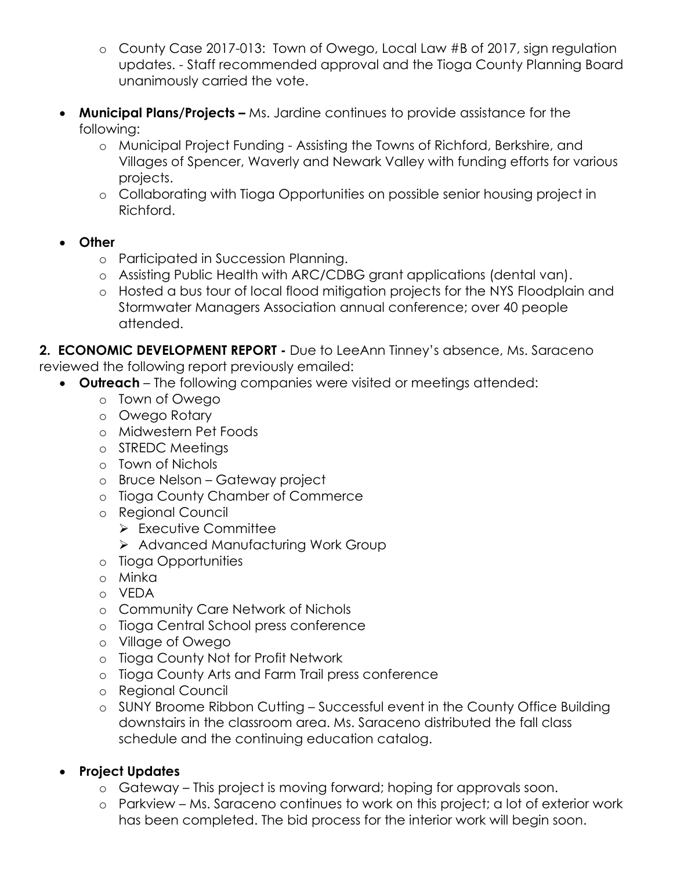- o County Case 2017-013: Town of Owego, Local Law #B of 2017, sign regulation updates. - Staff recommended approval and the Tioga County Planning Board unanimously carried the vote.
- **Municipal Plans/Projects –** Ms. Jardine continues to provide assistance for the following:
	- o Municipal Project Funding Assisting the Towns of Richford, Berkshire, and Villages of Spencer, Waverly and Newark Valley with funding efforts for various projects.
	- o Collaborating with Tioga Opportunities on possible senior housing project in Richford.

# **Other**

- o Participated in Succession Planning.
- o Assisting Public Health with ARC/CDBG grant applications (dental van).
- o Hosted a bus tour of local flood mitigation projects for the NYS Floodplain and Stormwater Managers Association annual conference; over 40 people attended.

**2. ECONOMIC DEVELOPMENT REPORT -** Due to LeeAnn Tinney's absence, Ms. Saraceno reviewed the following report previously emailed:

- **Outreach** The following companies were visited or meetings attended:
	- o Town of Owego
	- o Owego Rotary
	- o Midwestern Pet Foods
	- o STREDC Meetings
	- o Town of Nichols
	- o Bruce Nelson Gateway project
	- o Tioga County Chamber of Commerce
	- o Regional Council
		- > Executive Committee
		- > Advanced Manufacturing Work Group
	- o Tioga Opportunities
	- o Minka
	- o VEDA
	- o Community Care Network of Nichols
	- o Tioga Central School press conference
	- o Village of Owego
	- o Tioga County Not for Profit Network
	- o Tioga County Arts and Farm Trail press conference
	- o Regional Council
	- o SUNY Broome Ribbon Cutting Successful event in the County Office Building downstairs in the classroom area. Ms. Saraceno distributed the fall class schedule and the continuing education catalog.

# **Project Updates**

- o Gateway This project is moving forward; hoping for approvals soon.
- o Parkview Ms. Saraceno continues to work on this project; a lot of exterior work has been completed. The bid process for the interior work will begin soon.